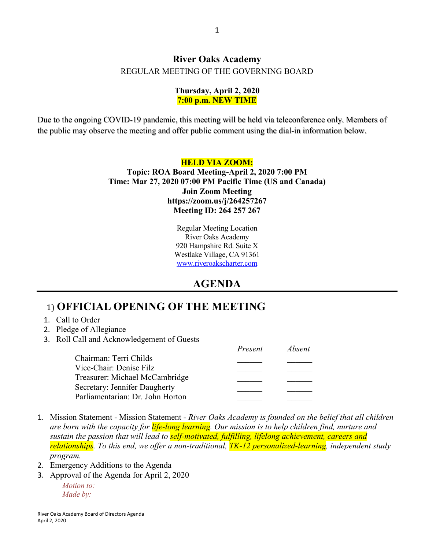#### **River Oaks Academy** REGULAR MEETING OF THE GOVERNING BOARD

#### **Thursday, April 2, 2020 7:00 p.m. NEW TIME**

Due to the ongoing COVID-19 pandemic, this meeting will be held via teleconference only. Members of the public may observe the meeting and offer public comment using the dial-in information below.

#### **HELD VIA ZOOM: Topic: ROA Board Meeting-April 2, 2020 7:00 PM Time: Mar 27, 2020 07:00 PM Pacific Time (US and Canada) Join Zoom Meeting https://zoom.us/j/264257267 Meeting ID: 264 257 267**

Regular Meeting Location River Oaks Academy 920 Hampshire Rd. Suite X Westlake Village, CA 91361 [www.riveroakscharter.com](http://www.riveroakscharter.com/)

## **AGENDA**

# 1) **OFFICIAL OPENING OF THE MEETING**

- 1. Call to Order
- 2. Pledge of Allegiance
- 3. Roll Call and Acknowledgement of Guests

| Present | <i>Absent</i> |
|---------|---------------|
|         |               |
|         |               |
|         |               |
|         |               |
|         |               |
|         |               |

- 1. Mission Statement Mission Statement *River Oaks Academy is founded on the belief that all children are born with the capacity for life-long learning. Our mission is to help children find, nurture and sustain the passion that will lead to self-motivated, fulfilling, lifelong achievement, careers and relationships. To this end, we offer a non-traditional, TK-12 personalized-learning, independent study program.*
- 2. Emergency Additions to the Agenda
- 3. Approval of the Agenda for April 2, 2020

*Motion to: Made by:*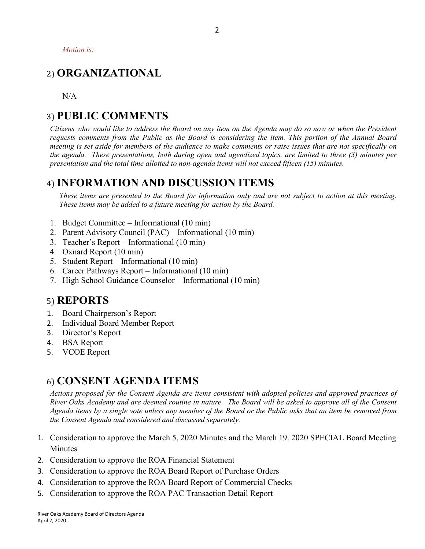*Motion is:*

## 2) **ORGANIZATIONAL**

N/A

#### 3) **PUBLIC COMMENTS**

*Citizens who would like to address the Board on any item on the Agenda may do so now or when the President requests comments from the Public as the Board is considering the item. This portion of the Annual Board meeting is set aside for members of the audience to make comments or raise issues that are not specifically on the agenda. These presentations, both during open and agendized topics, are limited to three (3) minutes per presentation and the total time allotted to non-agenda items will not exceed fifteen (15) minutes.*

#### 4) **INFORMATION AND DISCUSSION ITEMS**

*These items are presented to the Board for information only and are not subject to action at this meeting. These items may be added to a future meeting for action by the Board.*

- 1. Budget Committee Informational (10 min)
- 2. Parent Advisory Council (PAC) Informational (10 min)
- 3. Teacher's Report Informational (10 min)
- 4. Oxnard Report (10 min)
- 5. Student Report Informational (10 min)
- 6. Career Pathways Report Informational (10 min)
- 7. High School Guidance Counselor—Informational (10 min)

#### 5) **REPORTS**

- 1. Board Chairperson's Report
- 2. Individual Board Member Report
- 3. Director's Report
- 4. BSA Report
- 5. VCOE Report

## 6) **CONSENT AGENDA ITEMS**

*Actions proposed for the Consent Agenda are items consistent with adopted policies and approved practices of River Oaks Academy and are deemed routine in nature. The Board will be asked to approve all of the Consent Agenda items by a single vote unless any member of the Board or the Public asks that an item be removed from the Consent Agenda and considered and discussed separately.*

- 1. Consideration to approve the March 5, 2020 Minutes and the March 19. 2020 SPECIAL Board Meeting **Minutes**
- 2. Consideration to approve the ROA Financial Statement
- 3. Consideration to approve the ROA Board Report of Purchase Orders
- 4. Consideration to approve the ROA Board Report of Commercial Checks
- 5. Consideration to approve the ROA PAC Transaction Detail Report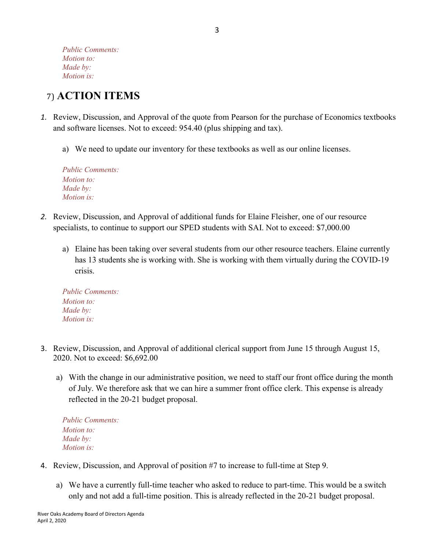*Public Comments: Motion to: Made by: Motion is:*

# 7) **ACTION ITEMS**

- *1.* Review, Discussion, and Approval of the quote from Pearson for the purchase of Economics textbooks and software licenses. Not to exceed: 954.40 (plus shipping and tax).
	- a) We need to update our inventory for these textbooks as well as our online licenses.

| <b>Public Comments:</b> |
|-------------------------|
| <i>Motion to:</i>       |
| Made by:                |
| <i>Motion is:</i>       |

- *2.* Review, Discussion, and Approval of additional funds for Elaine Fleisher, one of our resource specialists, to continue to support our SPED students with SAI. Not to exceed: \$7,000.00
	- a) Elaine has been taking over several students from our other resource teachers. Elaine currently has 13 students she is working with. She is working with them virtually during the COVID-19 crisis.

*Public Comments: Motion to: Made by: Motion is:*

- 3. Review, Discussion, and Approval of additional clerical support from June 15 through August 15, 2020. Not to exceed: \$6,692.00
	- a) With the change in our administrative position, we need to staff our front office during the month of July. We therefore ask that we can hire a summer front office clerk. This expense is already reflected in the 20-21 budget proposal.

*Public Comments: Motion to: Made by: Motion is:*

- 4. Review, Discussion, and Approval of position #7 to increase to full-time at Step 9.
	- a) We have a currently full-time teacher who asked to reduce to part-time. This would be a switch only and not add a full-time position. This is already reflected in the 20-21 budget proposal.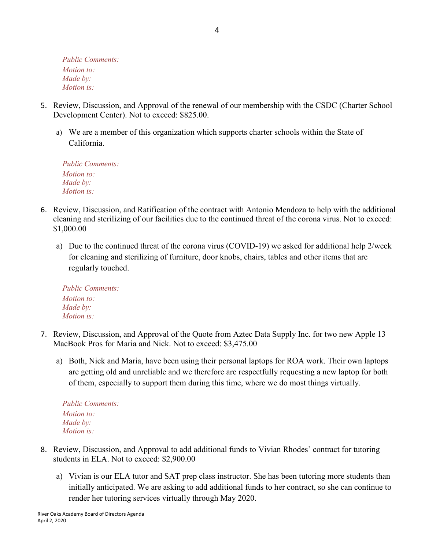*Public Comments: Motion to: Made by: Motion is:*

- 5. Review, Discussion, and Approval of the renewal of our membership with the CSDC (Charter School Development Center). Not to exceed: \$825.00.
	- a) We are a member of this organization which supports charter schools within the State of California.

*Public Comments: Motion to: Made by: Motion is:*

- 6. Review, Discussion, and Ratification of the contract with Antonio Mendoza to help with the additional cleaning and sterilizing of our facilities due to the continued threat of the corona virus. Not to exceed: \$1,000.00
	- a) Due to the continued threat of the corona virus (COVID-19) we asked for additional help 2/week for cleaning and sterilizing of furniture, door knobs, chairs, tables and other items that are regularly touched.

*Public Comments: Motion to: Made by: Motion is:*

- 7. Review, Discussion, and Approval of the Quote from Aztec Data Supply Inc. for two new Apple 13 MacBook Pros for Maria and Nick. Not to exceed: \$3,475.00
	- a) Both, Nick and Maria, have been using their personal laptops for ROA work. Their own laptops are getting old and unreliable and we therefore are respectfully requesting a new laptop for both of them, especially to support them during this time, where we do most things virtually.

*Public Comments: Motion to: Made by: Motion is:*

- 8. Review, Discussion, and Approval to add additional funds to Vivian Rhodes' contract for tutoring students in ELA. Not to exceed: \$2,900.00
	- a) Vivian is our ELA tutor and SAT prep class instructor. She has been tutoring more students than initially anticipated. We are asking to add additional funds to her contract, so she can continue to render her tutoring services virtually through May 2020.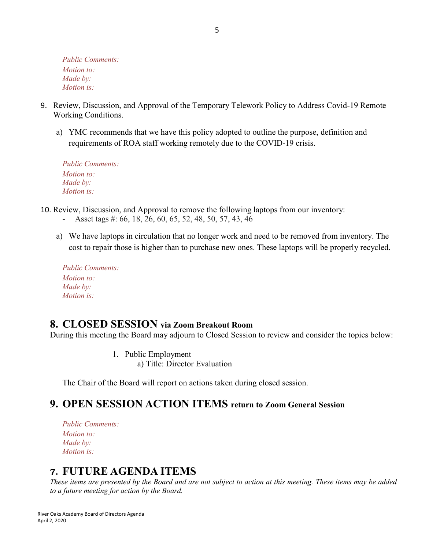*Public Comments: Motion to: Made by: Motion is:*

- 9. Review, Discussion, and Approval of the Temporary Telework Policy to Address Covid-19 Remote Working Conditions.
	- a) YMC recommends that we have this policy adopted to outline the purpose, definition and requirements of ROA staff working remotely due to the COVID-19 crisis.

| <b>Public Comments:</b> |
|-------------------------|
| <i>Motion to:</i>       |
| Made by:                |
| <i>Motion is:</i>       |

- 10. Review, Discussion, and Approval to remove the following laptops from our inventory:
	- Asset tags #: 66, 18, 26, 60, 65, 52, 48, 50, 57, 43, 46
	- a) We have laptops in circulation that no longer work and need to be removed from inventory. The cost to repair those is higher than to purchase new ones. These laptops will be properly recycled.

| <b>Public Comments:</b> |
|-------------------------|
| <i>Motion to:</i>       |
| Made by:                |
| Motion is:              |

#### **8. CLOSED SESSION via Zoom Breakout Room**

During this meeting the Board may adjourn to Closed Session to review and consider the topics below:

1. Public Employment a) Title: Director Evaluation

The Chair of the Board will report on actions taken during closed session.

## **9. OPEN SESSION ACTION ITEMS return to Zoom General Session**

*Public Comments: Motion to: Made by: Motion is:*

## **7. FUTURE AGENDA ITEMS**

*These items are presented by the Board and are not subject to action at this meeting. These items may be added to a future meeting for action by the Board.*